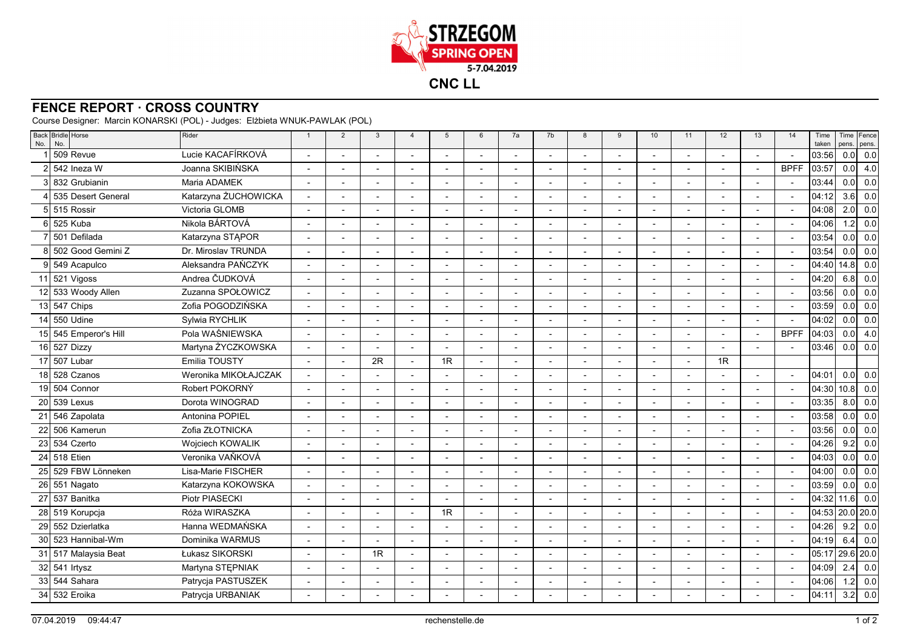

## **FENCE REPORT · CROSS COUNTRY**

Course Designer: Marcin KONARSKI (POL) - Judges: Elżbieta WNUK-PAWLAK (POL)

| Lucie KACAFÍRKOVÁ<br>509 Revue<br>Joanna SKIBIŃSKA<br><b>BPFF</b><br>542 Ineza W<br>÷<br>$\overline{\phantom{a}}$<br>$\overline{\phantom{0}}$<br>$\overline{\phantom{a}}$<br>$\overline{\phantom{a}}$<br>832 Grubianin<br>Maria ADAMEK<br>$\overline{\phantom{a}}$<br>$\overline{\phantom{a}}$<br>$\overline{\phantom{a}}$<br>Katarzyna ŻUCHOWICKA<br>535 Desert General<br>$\overline{\phantom{a}}$<br>5 515 Rossir<br>Victoria GLOMB<br>$\blacksquare$<br>$\blacksquare$<br>$\overline{\phantom{0}}$<br>$\overline{\phantom{a}}$<br>$\overline{a}$<br>$\overline{\phantom{a}}$<br>$\overline{\phantom{a}}$<br>$\overline{\phantom{a}}$<br>Nikola BÁRTOVÁ<br>525 Kuba<br>$\overline{a}$<br>$\overline{\phantom{a}}$<br>$\overline{a}$<br>$\overline{a}$<br>$\overline{a}$<br>$\overline{\phantom{a}}$<br>l 501 Defilada<br>Katarzyna STAPOR<br>$\overline{a}$<br>502 Good Gemini Z<br>Dr. Miroslav TRUNDA<br>Aleksandra PAŃCZYK<br>9 549 Acapulco<br>$\overline{a}$<br>$\overline{a}$<br>$\overline{a}$<br>Andrea ČUDKOVÁ<br>521 Vigoss<br>11<br>12 533 Woody Allen<br>Zuzanna SPOŁOWICZ<br>$\overline{a}$<br>$\overline{a}$<br>$\overline{a}$<br>$\overline{a}$<br>$\overline{a}$<br>$\overline{a}$<br>$\overline{\phantom{a}}$<br>$\overline{\phantom{a}}$<br>Zofia POGODZIŃSKA<br>13 547 Chips<br>$\overline{a}$<br>$\overline{a}$<br>$\overline{\phantom{a}}$<br>$\overline{a}$<br>$\overline{\phantom{a}}$<br>550 Udine<br>Sylwia RYCHLIK<br>14<br>Pola WAŚNIEWSKA<br>545 Emperor's Hill<br><b>BPFF</b><br>15 <sup>1</sup><br>Martyna ŻYCZKOWSKA<br>16 527 Dizzy<br>$\overline{a}$<br>$\overline{a}$<br>$\overline{a}$<br>$\overline{\phantom{a}}$<br>$\overline{a}$<br>Emilia TOUSTY<br>507 Lubar<br>2R<br>1R<br>1R<br>17<br>$\blacksquare$<br>18 528 Czanos<br>Weronika MIKOŁAJCZAK<br>$\overline{\phantom{a}}$<br>$\blacksquare$<br>$\overline{\phantom{a}}$<br>$\overline{a}$<br>$\overline{\phantom{a}}$<br>Robert POKORNÝ<br>19 504 Connor<br>$\overline{\phantom{a}}$<br>$\overline{a}$<br>$\overline{\phantom{a}}$<br>$\overline{a}$<br>20<br>539 Lexus<br>Dorota WINOGRAD<br>21<br>546 Zapolata<br>Antonina POPIEL<br>22 506 Kamerun<br>Zofia ZŁOTNICKA<br>$\overline{\phantom{a}}$<br>$\overline{a}$<br>$\blacksquare$<br>$\overline{a}$<br>$\overline{\phantom{0}}$<br>$\overline{\phantom{a}}$<br>23 534 Czerto<br>Wojciech KOWALIK<br>$\overline{a}$<br>L,<br>Veronika VAŇKOVÁ<br>24 518 Etien<br>$\overline{\phantom{a}}$<br>529 FBW Lönneken<br>Lisa-Marie FISCHER<br>25<br>$\overline{\phantom{a}}$<br>$\overline{\phantom{a}}$<br>$\overline{\phantom{a}}$<br>$\blacksquare$<br>$\blacksquare$<br>$\blacksquare$<br>$\blacksquare$<br>$\overline{\phantom{a}}$<br>26 551 Nagato<br>Katarzyna KOKOWSKA<br>27<br>537 Banitka<br>Piotr PIASECKI<br>$\overline{a}$<br>Róża WIRASZKA<br>1R<br>28 519 Korupcja<br>$\overline{\phantom{a}}$<br>$\blacksquare$<br>$\overline{\phantom{a}}$<br>Hanna WEDMAŃSKA<br>29<br>552 Dzierlatka<br>30 523 Hannibal-Wm<br>Dominika WARMUS<br>$\overline{a}$<br>$\overline{a}$<br>$\overline{\phantom{a}}$<br>$\overline{\phantom{a}}$<br>1R<br>Łukasz SIKORSKI<br>31<br>517 Malaysia Beat<br>$\overline{\phantom{a}}$<br>$\overline{\phantom{a}}$<br>$\overline{\phantom{a}}$<br>$\blacksquare$<br>$\blacksquare$<br>$\blacksquare$<br>$\overline{\phantom{a}}$<br>32 541 Irtysz<br>Martyna STEPNIAK<br>$\overline{a}$<br>$\overline{\phantom{a}}$<br>$\overline{\phantom{a}}$ | Time<br>taken | pens.            | Time Fence<br>pens. |
|------------------------------------------------------------------------------------------------------------------------------------------------------------------------------------------------------------------------------------------------------------------------------------------------------------------------------------------------------------------------------------------------------------------------------------------------------------------------------------------------------------------------------------------------------------------------------------------------------------------------------------------------------------------------------------------------------------------------------------------------------------------------------------------------------------------------------------------------------------------------------------------------------------------------------------------------------------------------------------------------------------------------------------------------------------------------------------------------------------------------------------------------------------------------------------------------------------------------------------------------------------------------------------------------------------------------------------------------------------------------------------------------------------------------------------------------------------------------------------------------------------------------------------------------------------------------------------------------------------------------------------------------------------------------------------------------------------------------------------------------------------------------------------------------------------------------------------------------------------------------------------------------------------------------------------------------------------------------------------------------------------------------------------------------------------------------------------------------------------------------------------------------------------------------------------------------------------------------------------------------------------------------------------------------------------------------------------------------------------------------------------------------------------------------------------------------------------------------------------------------------------------------------------------------------------------------------------------------------------------------------------------------------------------------------------------------------------------------------------------------------------------------------------------------------------------------------------------------------------------------------------------------------------------------------------------------------------------------------------------------------------------------------------------------------------------------------------------------------------------------------------------------------------------------------------------------------------------------------------------------------------------------------------------------------------------------------------------------------------------------------------------------------------------------------------|---------------|------------------|---------------------|
|                                                                                                                                                                                                                                                                                                                                                                                                                                                                                                                                                                                                                                                                                                                                                                                                                                                                                                                                                                                                                                                                                                                                                                                                                                                                                                                                                                                                                                                                                                                                                                                                                                                                                                                                                                                                                                                                                                                                                                                                                                                                                                                                                                                                                                                                                                                                                                                                                                                                                                                                                                                                                                                                                                                                                                                                                                                                                                                                                                                                                                                                                                                                                                                                                                                                                                                                                                                                                                    | 03:56         | 0.0              | 0.0                 |
|                                                                                                                                                                                                                                                                                                                                                                                                                                                                                                                                                                                                                                                                                                                                                                                                                                                                                                                                                                                                                                                                                                                                                                                                                                                                                                                                                                                                                                                                                                                                                                                                                                                                                                                                                                                                                                                                                                                                                                                                                                                                                                                                                                                                                                                                                                                                                                                                                                                                                                                                                                                                                                                                                                                                                                                                                                                                                                                                                                                                                                                                                                                                                                                                                                                                                                                                                                                                                                    | 03:57         | 0.0 <sub>l</sub> | 4.0                 |
|                                                                                                                                                                                                                                                                                                                                                                                                                                                                                                                                                                                                                                                                                                                                                                                                                                                                                                                                                                                                                                                                                                                                                                                                                                                                                                                                                                                                                                                                                                                                                                                                                                                                                                                                                                                                                                                                                                                                                                                                                                                                                                                                                                                                                                                                                                                                                                                                                                                                                                                                                                                                                                                                                                                                                                                                                                                                                                                                                                                                                                                                                                                                                                                                                                                                                                                                                                                                                                    | 03:44         | 0.0              | 0.0                 |
|                                                                                                                                                                                                                                                                                                                                                                                                                                                                                                                                                                                                                                                                                                                                                                                                                                                                                                                                                                                                                                                                                                                                                                                                                                                                                                                                                                                                                                                                                                                                                                                                                                                                                                                                                                                                                                                                                                                                                                                                                                                                                                                                                                                                                                                                                                                                                                                                                                                                                                                                                                                                                                                                                                                                                                                                                                                                                                                                                                                                                                                                                                                                                                                                                                                                                                                                                                                                                                    | 04:12         | 3.6              | 0.0                 |
|                                                                                                                                                                                                                                                                                                                                                                                                                                                                                                                                                                                                                                                                                                                                                                                                                                                                                                                                                                                                                                                                                                                                                                                                                                                                                                                                                                                                                                                                                                                                                                                                                                                                                                                                                                                                                                                                                                                                                                                                                                                                                                                                                                                                                                                                                                                                                                                                                                                                                                                                                                                                                                                                                                                                                                                                                                                                                                                                                                                                                                                                                                                                                                                                                                                                                                                                                                                                                                    | 04:08         | 2.0              | 0.0                 |
|                                                                                                                                                                                                                                                                                                                                                                                                                                                                                                                                                                                                                                                                                                                                                                                                                                                                                                                                                                                                                                                                                                                                                                                                                                                                                                                                                                                                                                                                                                                                                                                                                                                                                                                                                                                                                                                                                                                                                                                                                                                                                                                                                                                                                                                                                                                                                                                                                                                                                                                                                                                                                                                                                                                                                                                                                                                                                                                                                                                                                                                                                                                                                                                                                                                                                                                                                                                                                                    | 04:06         | 1.2              | 0.0                 |
|                                                                                                                                                                                                                                                                                                                                                                                                                                                                                                                                                                                                                                                                                                                                                                                                                                                                                                                                                                                                                                                                                                                                                                                                                                                                                                                                                                                                                                                                                                                                                                                                                                                                                                                                                                                                                                                                                                                                                                                                                                                                                                                                                                                                                                                                                                                                                                                                                                                                                                                                                                                                                                                                                                                                                                                                                                                                                                                                                                                                                                                                                                                                                                                                                                                                                                                                                                                                                                    | 03:54         | 0.0              | 0.0                 |
|                                                                                                                                                                                                                                                                                                                                                                                                                                                                                                                                                                                                                                                                                                                                                                                                                                                                                                                                                                                                                                                                                                                                                                                                                                                                                                                                                                                                                                                                                                                                                                                                                                                                                                                                                                                                                                                                                                                                                                                                                                                                                                                                                                                                                                                                                                                                                                                                                                                                                                                                                                                                                                                                                                                                                                                                                                                                                                                                                                                                                                                                                                                                                                                                                                                                                                                                                                                                                                    | 03:54         | 0.0              | 0.0                 |
|                                                                                                                                                                                                                                                                                                                                                                                                                                                                                                                                                                                                                                                                                                                                                                                                                                                                                                                                                                                                                                                                                                                                                                                                                                                                                                                                                                                                                                                                                                                                                                                                                                                                                                                                                                                                                                                                                                                                                                                                                                                                                                                                                                                                                                                                                                                                                                                                                                                                                                                                                                                                                                                                                                                                                                                                                                                                                                                                                                                                                                                                                                                                                                                                                                                                                                                                                                                                                                    | 04:40         | 14.8             | 0.0                 |
|                                                                                                                                                                                                                                                                                                                                                                                                                                                                                                                                                                                                                                                                                                                                                                                                                                                                                                                                                                                                                                                                                                                                                                                                                                                                                                                                                                                                                                                                                                                                                                                                                                                                                                                                                                                                                                                                                                                                                                                                                                                                                                                                                                                                                                                                                                                                                                                                                                                                                                                                                                                                                                                                                                                                                                                                                                                                                                                                                                                                                                                                                                                                                                                                                                                                                                                                                                                                                                    | 04:20         | 6.8              | 0.0                 |
|                                                                                                                                                                                                                                                                                                                                                                                                                                                                                                                                                                                                                                                                                                                                                                                                                                                                                                                                                                                                                                                                                                                                                                                                                                                                                                                                                                                                                                                                                                                                                                                                                                                                                                                                                                                                                                                                                                                                                                                                                                                                                                                                                                                                                                                                                                                                                                                                                                                                                                                                                                                                                                                                                                                                                                                                                                                                                                                                                                                                                                                                                                                                                                                                                                                                                                                                                                                                                                    | 03:56         | 0.0              | 0.0                 |
|                                                                                                                                                                                                                                                                                                                                                                                                                                                                                                                                                                                                                                                                                                                                                                                                                                                                                                                                                                                                                                                                                                                                                                                                                                                                                                                                                                                                                                                                                                                                                                                                                                                                                                                                                                                                                                                                                                                                                                                                                                                                                                                                                                                                                                                                                                                                                                                                                                                                                                                                                                                                                                                                                                                                                                                                                                                                                                                                                                                                                                                                                                                                                                                                                                                                                                                                                                                                                                    | 03:59         | 0.0              | 0.0                 |
|                                                                                                                                                                                                                                                                                                                                                                                                                                                                                                                                                                                                                                                                                                                                                                                                                                                                                                                                                                                                                                                                                                                                                                                                                                                                                                                                                                                                                                                                                                                                                                                                                                                                                                                                                                                                                                                                                                                                                                                                                                                                                                                                                                                                                                                                                                                                                                                                                                                                                                                                                                                                                                                                                                                                                                                                                                                                                                                                                                                                                                                                                                                                                                                                                                                                                                                                                                                                                                    | 04:02         | 0.0              | 0.0                 |
|                                                                                                                                                                                                                                                                                                                                                                                                                                                                                                                                                                                                                                                                                                                                                                                                                                                                                                                                                                                                                                                                                                                                                                                                                                                                                                                                                                                                                                                                                                                                                                                                                                                                                                                                                                                                                                                                                                                                                                                                                                                                                                                                                                                                                                                                                                                                                                                                                                                                                                                                                                                                                                                                                                                                                                                                                                                                                                                                                                                                                                                                                                                                                                                                                                                                                                                                                                                                                                    | 04:03         | 0.0              | 4.0                 |
|                                                                                                                                                                                                                                                                                                                                                                                                                                                                                                                                                                                                                                                                                                                                                                                                                                                                                                                                                                                                                                                                                                                                                                                                                                                                                                                                                                                                                                                                                                                                                                                                                                                                                                                                                                                                                                                                                                                                                                                                                                                                                                                                                                                                                                                                                                                                                                                                                                                                                                                                                                                                                                                                                                                                                                                                                                                                                                                                                                                                                                                                                                                                                                                                                                                                                                                                                                                                                                    | 03:46         | 0.0              | 0.0                 |
|                                                                                                                                                                                                                                                                                                                                                                                                                                                                                                                                                                                                                                                                                                                                                                                                                                                                                                                                                                                                                                                                                                                                                                                                                                                                                                                                                                                                                                                                                                                                                                                                                                                                                                                                                                                                                                                                                                                                                                                                                                                                                                                                                                                                                                                                                                                                                                                                                                                                                                                                                                                                                                                                                                                                                                                                                                                                                                                                                                                                                                                                                                                                                                                                                                                                                                                                                                                                                                    |               |                  |                     |
|                                                                                                                                                                                                                                                                                                                                                                                                                                                                                                                                                                                                                                                                                                                                                                                                                                                                                                                                                                                                                                                                                                                                                                                                                                                                                                                                                                                                                                                                                                                                                                                                                                                                                                                                                                                                                                                                                                                                                                                                                                                                                                                                                                                                                                                                                                                                                                                                                                                                                                                                                                                                                                                                                                                                                                                                                                                                                                                                                                                                                                                                                                                                                                                                                                                                                                                                                                                                                                    | 04:01         | 0.0              | 0.0                 |
|                                                                                                                                                                                                                                                                                                                                                                                                                                                                                                                                                                                                                                                                                                                                                                                                                                                                                                                                                                                                                                                                                                                                                                                                                                                                                                                                                                                                                                                                                                                                                                                                                                                                                                                                                                                                                                                                                                                                                                                                                                                                                                                                                                                                                                                                                                                                                                                                                                                                                                                                                                                                                                                                                                                                                                                                                                                                                                                                                                                                                                                                                                                                                                                                                                                                                                                                                                                                                                    | 04:30         | 10.8             | 0.0                 |
|                                                                                                                                                                                                                                                                                                                                                                                                                                                                                                                                                                                                                                                                                                                                                                                                                                                                                                                                                                                                                                                                                                                                                                                                                                                                                                                                                                                                                                                                                                                                                                                                                                                                                                                                                                                                                                                                                                                                                                                                                                                                                                                                                                                                                                                                                                                                                                                                                                                                                                                                                                                                                                                                                                                                                                                                                                                                                                                                                                                                                                                                                                                                                                                                                                                                                                                                                                                                                                    | 03:35         | 8.0              | 0.0                 |
|                                                                                                                                                                                                                                                                                                                                                                                                                                                                                                                                                                                                                                                                                                                                                                                                                                                                                                                                                                                                                                                                                                                                                                                                                                                                                                                                                                                                                                                                                                                                                                                                                                                                                                                                                                                                                                                                                                                                                                                                                                                                                                                                                                                                                                                                                                                                                                                                                                                                                                                                                                                                                                                                                                                                                                                                                                                                                                                                                                                                                                                                                                                                                                                                                                                                                                                                                                                                                                    | 03:58         | 0.0              | 0.0                 |
|                                                                                                                                                                                                                                                                                                                                                                                                                                                                                                                                                                                                                                                                                                                                                                                                                                                                                                                                                                                                                                                                                                                                                                                                                                                                                                                                                                                                                                                                                                                                                                                                                                                                                                                                                                                                                                                                                                                                                                                                                                                                                                                                                                                                                                                                                                                                                                                                                                                                                                                                                                                                                                                                                                                                                                                                                                                                                                                                                                                                                                                                                                                                                                                                                                                                                                                                                                                                                                    | 03:56         | 0.0              | 0.0                 |
|                                                                                                                                                                                                                                                                                                                                                                                                                                                                                                                                                                                                                                                                                                                                                                                                                                                                                                                                                                                                                                                                                                                                                                                                                                                                                                                                                                                                                                                                                                                                                                                                                                                                                                                                                                                                                                                                                                                                                                                                                                                                                                                                                                                                                                                                                                                                                                                                                                                                                                                                                                                                                                                                                                                                                                                                                                                                                                                                                                                                                                                                                                                                                                                                                                                                                                                                                                                                                                    | 04:26         | 9.2              | 0.0                 |
|                                                                                                                                                                                                                                                                                                                                                                                                                                                                                                                                                                                                                                                                                                                                                                                                                                                                                                                                                                                                                                                                                                                                                                                                                                                                                                                                                                                                                                                                                                                                                                                                                                                                                                                                                                                                                                                                                                                                                                                                                                                                                                                                                                                                                                                                                                                                                                                                                                                                                                                                                                                                                                                                                                                                                                                                                                                                                                                                                                                                                                                                                                                                                                                                                                                                                                                                                                                                                                    | 04:03         | 0.0              | 0.0                 |
|                                                                                                                                                                                                                                                                                                                                                                                                                                                                                                                                                                                                                                                                                                                                                                                                                                                                                                                                                                                                                                                                                                                                                                                                                                                                                                                                                                                                                                                                                                                                                                                                                                                                                                                                                                                                                                                                                                                                                                                                                                                                                                                                                                                                                                                                                                                                                                                                                                                                                                                                                                                                                                                                                                                                                                                                                                                                                                                                                                                                                                                                                                                                                                                                                                                                                                                                                                                                                                    | 04:00         | 0.0              | 0.0                 |
|                                                                                                                                                                                                                                                                                                                                                                                                                                                                                                                                                                                                                                                                                                                                                                                                                                                                                                                                                                                                                                                                                                                                                                                                                                                                                                                                                                                                                                                                                                                                                                                                                                                                                                                                                                                                                                                                                                                                                                                                                                                                                                                                                                                                                                                                                                                                                                                                                                                                                                                                                                                                                                                                                                                                                                                                                                                                                                                                                                                                                                                                                                                                                                                                                                                                                                                                                                                                                                    | 03:59         | 0.0              | 0.0                 |
|                                                                                                                                                                                                                                                                                                                                                                                                                                                                                                                                                                                                                                                                                                                                                                                                                                                                                                                                                                                                                                                                                                                                                                                                                                                                                                                                                                                                                                                                                                                                                                                                                                                                                                                                                                                                                                                                                                                                                                                                                                                                                                                                                                                                                                                                                                                                                                                                                                                                                                                                                                                                                                                                                                                                                                                                                                                                                                                                                                                                                                                                                                                                                                                                                                                                                                                                                                                                                                    | 04:32         | 11.6             | 0.0                 |
|                                                                                                                                                                                                                                                                                                                                                                                                                                                                                                                                                                                                                                                                                                                                                                                                                                                                                                                                                                                                                                                                                                                                                                                                                                                                                                                                                                                                                                                                                                                                                                                                                                                                                                                                                                                                                                                                                                                                                                                                                                                                                                                                                                                                                                                                                                                                                                                                                                                                                                                                                                                                                                                                                                                                                                                                                                                                                                                                                                                                                                                                                                                                                                                                                                                                                                                                                                                                                                    | 04:53         |                  | $20.0$ 20.0         |
|                                                                                                                                                                                                                                                                                                                                                                                                                                                                                                                                                                                                                                                                                                                                                                                                                                                                                                                                                                                                                                                                                                                                                                                                                                                                                                                                                                                                                                                                                                                                                                                                                                                                                                                                                                                                                                                                                                                                                                                                                                                                                                                                                                                                                                                                                                                                                                                                                                                                                                                                                                                                                                                                                                                                                                                                                                                                                                                                                                                                                                                                                                                                                                                                                                                                                                                                                                                                                                    | 04:26         | 9.2              | 0.0                 |
|                                                                                                                                                                                                                                                                                                                                                                                                                                                                                                                                                                                                                                                                                                                                                                                                                                                                                                                                                                                                                                                                                                                                                                                                                                                                                                                                                                                                                                                                                                                                                                                                                                                                                                                                                                                                                                                                                                                                                                                                                                                                                                                                                                                                                                                                                                                                                                                                                                                                                                                                                                                                                                                                                                                                                                                                                                                                                                                                                                                                                                                                                                                                                                                                                                                                                                                                                                                                                                    | 04:19         | 6.4              | 0.0                 |
|                                                                                                                                                                                                                                                                                                                                                                                                                                                                                                                                                                                                                                                                                                                                                                                                                                                                                                                                                                                                                                                                                                                                                                                                                                                                                                                                                                                                                                                                                                                                                                                                                                                                                                                                                                                                                                                                                                                                                                                                                                                                                                                                                                                                                                                                                                                                                                                                                                                                                                                                                                                                                                                                                                                                                                                                                                                                                                                                                                                                                                                                                                                                                                                                                                                                                                                                                                                                                                    | 05:17         |                  | 29.6 20.0           |
|                                                                                                                                                                                                                                                                                                                                                                                                                                                                                                                                                                                                                                                                                                                                                                                                                                                                                                                                                                                                                                                                                                                                                                                                                                                                                                                                                                                                                                                                                                                                                                                                                                                                                                                                                                                                                                                                                                                                                                                                                                                                                                                                                                                                                                                                                                                                                                                                                                                                                                                                                                                                                                                                                                                                                                                                                                                                                                                                                                                                                                                                                                                                                                                                                                                                                                                                                                                                                                    | 04:09         | 2.4              | 0.0                 |
| 33 544 Sahara<br>Patrycja PASTUSZEK                                                                                                                                                                                                                                                                                                                                                                                                                                                                                                                                                                                                                                                                                                                                                                                                                                                                                                                                                                                                                                                                                                                                                                                                                                                                                                                                                                                                                                                                                                                                                                                                                                                                                                                                                                                                                                                                                                                                                                                                                                                                                                                                                                                                                                                                                                                                                                                                                                                                                                                                                                                                                                                                                                                                                                                                                                                                                                                                                                                                                                                                                                                                                                                                                                                                                                                                                                                                | 04:06         | 1.2              | 0.0                 |
| 34 532 Eroika<br>Patrycja URBANIAK<br>$\overline{\phantom{a}}$                                                                                                                                                                                                                                                                                                                                                                                                                                                                                                                                                                                                                                                                                                                                                                                                                                                                                                                                                                                                                                                                                                                                                                                                                                                                                                                                                                                                                                                                                                                                                                                                                                                                                                                                                                                                                                                                                                                                                                                                                                                                                                                                                                                                                                                                                                                                                                                                                                                                                                                                                                                                                                                                                                                                                                                                                                                                                                                                                                                                                                                                                                                                                                                                                                                                                                                                                                     | 04:11         | 3.2              | 0.0                 |